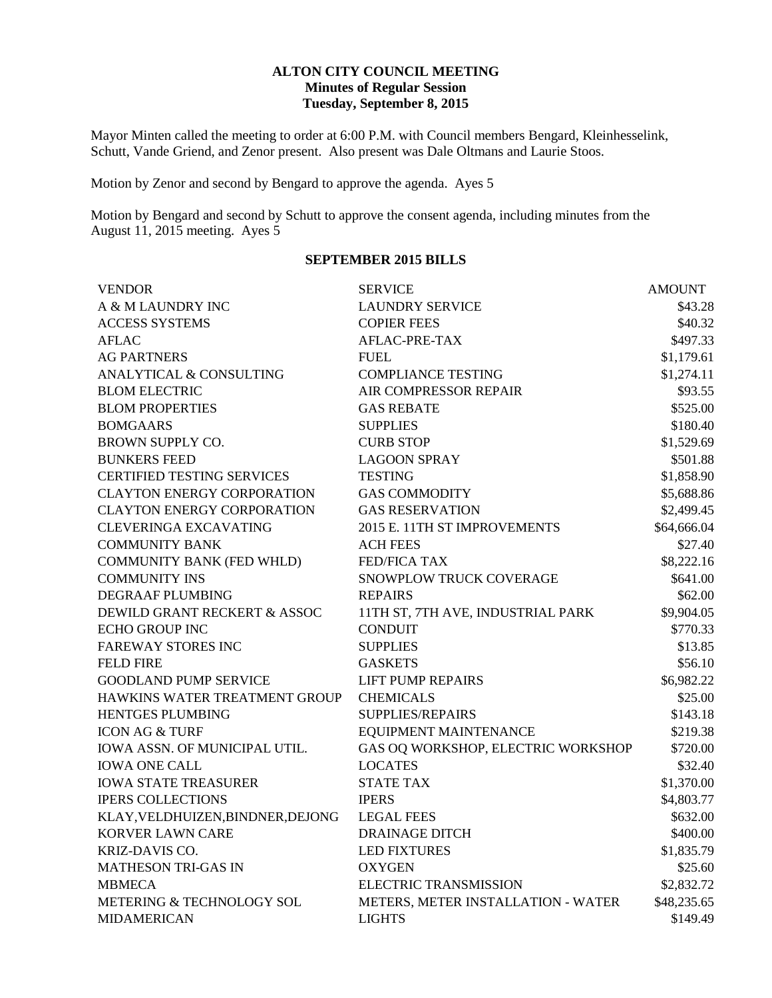### **ALTON CITY COUNCIL MEETING Minutes of Regular Session Tuesday, September 8, 2015**

Mayor Minten called the meeting to order at 6:00 P.M. with Council members Bengard, Kleinhesselink, Schutt, Vande Griend, and Zenor present. Also present was Dale Oltmans and Laurie Stoos.

Motion by Zenor and second by Bengard to approve the agenda. Ayes 5

Motion by Bengard and second by Schutt to approve the consent agenda, including minutes from the August 11, 2015 meeting. Ayes 5

### **SEPTEMBER 2015 BILLS**

| <b>VENDOR</b>                     | <b>SERVICE</b>                     | <b>AMOUNT</b> |
|-----------------------------------|------------------------------------|---------------|
| A & M LAUNDRY INC                 | <b>LAUNDRY SERVICE</b>             | \$43.28       |
| <b>ACCESS SYSTEMS</b>             | <b>COPIER FEES</b>                 | \$40.32       |
| <b>AFLAC</b>                      | AFLAC-PRE-TAX                      | \$497.33      |
| <b>AG PARTNERS</b>                | <b>FUEL</b>                        | \$1,179.61    |
| ANALYTICAL & CONSULTING           | <b>COMPLIANCE TESTING</b>          | \$1,274.11    |
| <b>BLOM ELECTRIC</b>              | AIR COMPRESSOR REPAIR              | \$93.55       |
| <b>BLOM PROPERTIES</b>            | <b>GAS REBATE</b>                  | \$525.00      |
| <b>BOMGAARS</b>                   | <b>SUPPLIES</b>                    | \$180.40      |
| BROWN SUPPLY CO.                  | <b>CURB STOP</b>                   | \$1,529.69    |
| <b>BUNKERS FEED</b>               | <b>LAGOON SPRAY</b>                | \$501.88      |
| <b>CERTIFIED TESTING SERVICES</b> | <b>TESTING</b>                     | \$1,858.90    |
| <b>CLAYTON ENERGY CORPORATION</b> | <b>GAS COMMODITY</b>               | \$5,688.86    |
| <b>CLAYTON ENERGY CORPORATION</b> | <b>GAS RESERVATION</b>             | \$2,499.45    |
| <b>CLEVERINGA EXCAVATING</b>      | 2015 E. 11TH ST IMPROVEMENTS       | \$64,666.04   |
| <b>COMMUNITY BANK</b>             | <b>ACH FEES</b>                    | \$27.40       |
| <b>COMMUNITY BANK (FED WHLD)</b>  | <b>FED/FICA TAX</b>                | \$8,222.16    |
| <b>COMMUNITY INS</b>              | SNOWPLOW TRUCK COVERAGE            | \$641.00      |
| DEGRAAF PLUMBING                  | <b>REPAIRS</b>                     | \$62.00       |
| DEWILD GRANT RECKERT & ASSOC      | 11TH ST, 7TH AVE, INDUSTRIAL PARK  | \$9,904.05    |
| <b>ECHO GROUP INC</b>             | <b>CONDUIT</b>                     | \$770.33      |
| <b>FAREWAY STORES INC</b>         | <b>SUPPLIES</b>                    | \$13.85       |
| <b>FELD FIRE</b>                  | <b>GASKETS</b>                     | \$56.10       |
| <b>GOODLAND PUMP SERVICE</b>      | <b>LIFT PUMP REPAIRS</b>           | \$6,982.22    |
| HAWKINS WATER TREATMENT GROUP     | <b>CHEMICALS</b>                   | \$25.00       |
| <b>HENTGES PLUMBING</b>           | SUPPLIES/REPAIRS                   | \$143.18      |
| <b>ICON AG &amp; TURF</b>         | EQUIPMENT MAINTENANCE              | \$219.38      |
| IOWA ASSN. OF MUNICIPAL UTIL.     | GAS OQ WORKSHOP, ELECTRIC WORKSHOP | \$720.00      |
| <b>IOWA ONE CALL</b>              | <b>LOCATES</b>                     | \$32.40       |
| <b>IOWA STATE TREASURER</b>       | <b>STATE TAX</b>                   | \$1,370.00    |
| <b>IPERS COLLECTIONS</b>          | <b>IPERS</b>                       | \$4,803.77    |
| KLAY, VELDHUIZEN, BINDNER, DEJONG | <b>LEGAL FEES</b>                  | \$632.00      |
| KORVER LAWN CARE                  | <b>DRAINAGE DITCH</b>              | \$400.00      |
| KRIZ-DAVIS CO.                    | <b>LED FIXTURES</b>                | \$1,835.79    |
| <b>MATHESON TRI-GAS IN</b>        | <b>OXYGEN</b>                      | \$25.60       |
| <b>MBMECA</b>                     | <b>ELECTRIC TRANSMISSION</b>       | \$2,832.72    |
| METERING & TECHNOLOGY SOL         | METERS, METER INSTALLATION - WATER | \$48,235.65   |
| <b>MIDAMERICAN</b>                | <b>LIGHTS</b>                      | \$149.49      |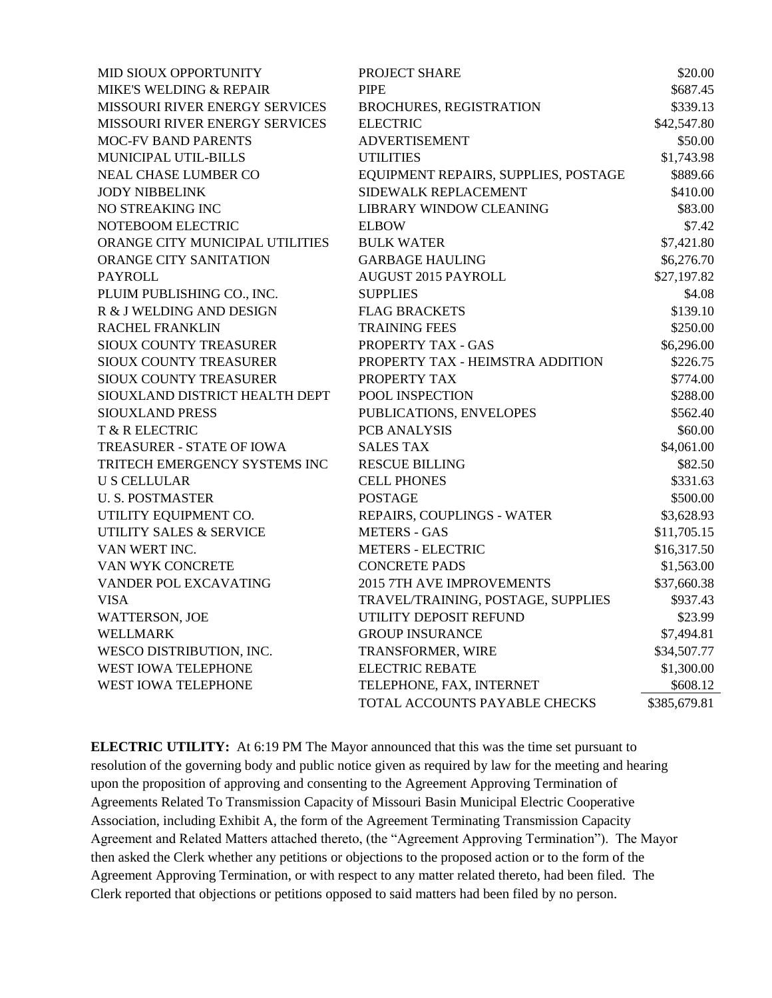| MID SIOUX OPPORTUNITY                 | PROJECT SHARE                        | \$20.00      |
|---------------------------------------|--------------------------------------|--------------|
| MIKE'S WELDING & REPAIR               | <b>PIPE</b>                          | \$687.45     |
| <b>MISSOURI RIVER ENERGY SERVICES</b> | BROCHURES, REGISTRATION              | \$339.13     |
| MISSOURI RIVER ENERGY SERVICES        | <b>ELECTRIC</b>                      | \$42,547.80  |
| <b>MOC-FV BAND PARENTS</b>            | <b>ADVERTISEMENT</b>                 | \$50.00      |
| MUNICIPAL UTIL-BILLS                  | <b>UTILITIES</b>                     | \$1,743.98   |
| <b>NEAL CHASE LUMBER CO</b>           | EQUIPMENT REPAIRS, SUPPLIES, POSTAGE | \$889.66     |
| <b>JODY NIBBELINK</b>                 | SIDEWALK REPLACEMENT                 | \$410.00     |
| NO STREAKING INC                      | <b>LIBRARY WINDOW CLEANING</b>       | \$83.00      |
| NOTEBOOM ELECTRIC                     | <b>ELBOW</b>                         | \$7.42       |
| ORANGE CITY MUNICIPAL UTILITIES       | <b>BULK WATER</b>                    | \$7,421.80   |
| ORANGE CITY SANITATION                | <b>GARBAGE HAULING</b>               | \$6,276.70   |
| <b>PAYROLL</b>                        | <b>AUGUST 2015 PAYROLL</b>           | \$27,197.82  |
| PLUIM PUBLISHING CO., INC.            | <b>SUPPLIES</b>                      | \$4.08       |
| R & J WELDING AND DESIGN              | <b>FLAG BRACKETS</b>                 | \$139.10     |
| <b>RACHEL FRANKLIN</b>                | <b>TRAINING FEES</b>                 | \$250.00     |
| SIOUX COUNTY TREASURER                | PROPERTY TAX - GAS                   | \$6,296.00   |
| <b>SIOUX COUNTY TREASURER</b>         | PROPERTY TAX - HEIMSTRA ADDITION     | \$226.75     |
| SIOUX COUNTY TREASURER                | PROPERTY TAX                         | \$774.00     |
| SIOUXLAND DISTRICT HEALTH DEPT        | POOL INSPECTION                      | \$288.00     |
| <b>SIOUXLAND PRESS</b>                | PUBLICATIONS, ENVELOPES              | \$562.40     |
| T & R ELECTRIC                        | PCB ANALYSIS                         | \$60.00      |
| TREASURER - STATE OF IOWA             | <b>SALES TAX</b>                     | \$4,061.00   |
| TRITECH EMERGENCY SYSTEMS INC         | <b>RESCUE BILLING</b>                | \$82.50      |
| <b>U S CELLULAR</b>                   | <b>CELL PHONES</b>                   | \$331.63     |
| <b>U. S. POSTMASTER</b>               | <b>POSTAGE</b>                       | \$500.00     |
| UTILITY EQUIPMENT CO.                 | REPAIRS, COUPLINGS - WATER           | \$3,628.93   |
| UTILITY SALES & SERVICE               | <b>METERS - GAS</b>                  | \$11,705.15  |
| VAN WERT INC.                         | <b>METERS - ELECTRIC</b>             | \$16,317.50  |
| VAN WYK CONCRETE                      | <b>CONCRETE PADS</b>                 | \$1,563.00   |
| VANDER POL EXCAVATING                 | 2015 7TH AVE IMPROVEMENTS            | \$37,660.38  |
| <b>VISA</b>                           | TRAVEL/TRAINING, POSTAGE, SUPPLIES   | \$937.43     |
| WATTERSON, JOE                        | UTILITY DEPOSIT REFUND               | \$23.99      |
| <b>WELLMARK</b>                       | <b>GROUP INSURANCE</b>               | \$7,494.81   |
| WESCO DISTRIBUTION, INC.              | TRANSFORMER, WIRE                    | \$34,507.77  |
| WEST IOWA TELEPHONE                   | <b>ELECTRIC REBATE</b>               | \$1,300.00   |
| WEST IOWA TELEPHONE                   | TELEPHONE, FAX, INTERNET             | \$608.12     |
|                                       | TOTAL ACCOUNTS PAYABLE CHECKS        | \$385,679.81 |

**ELECTRIC UTILITY:** At 6:19 PM The Mayor announced that this was the time set pursuant to resolution of the governing body and public notice given as required by law for the meeting and hearing upon the proposition of approving and consenting to the Agreement Approving Termination of Agreements Related To Transmission Capacity of Missouri Basin Municipal Electric Cooperative Association, including Exhibit A, the form of the Agreement Terminating Transmission Capacity Agreement and Related Matters attached thereto, (the "Agreement Approving Termination"). The Mayor then asked the Clerk whether any petitions or objections to the proposed action or to the form of the Agreement Approving Termination, or with respect to any matter related thereto, had been filed. The Clerk reported that objections or petitions opposed to said matters had been filed by no person.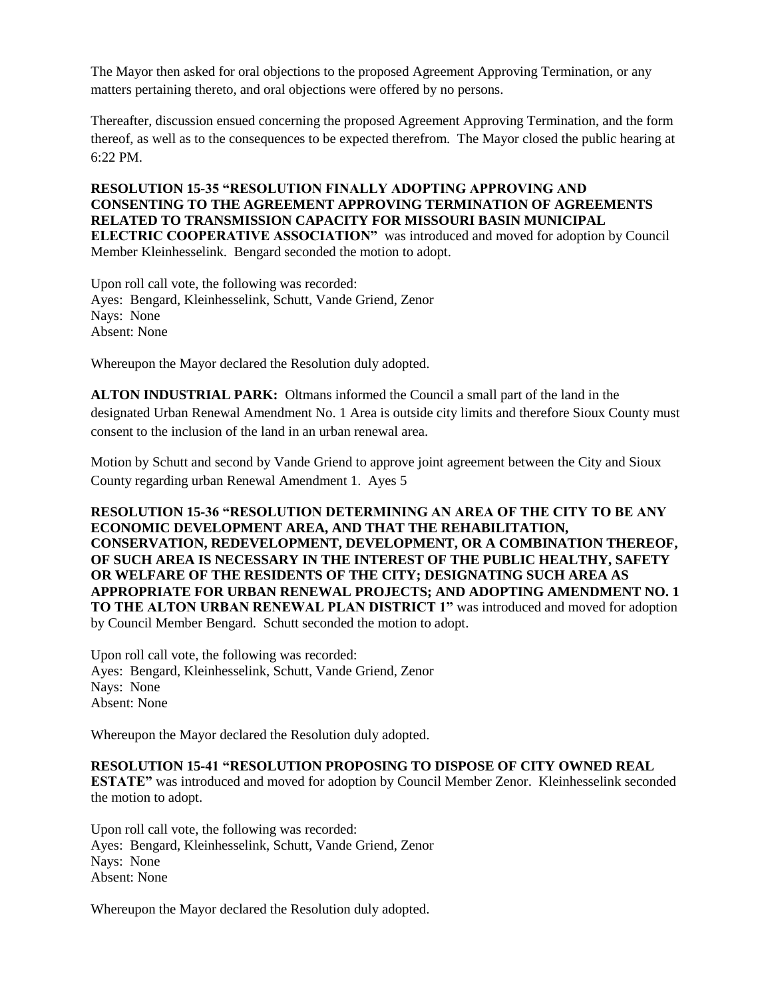The Mayor then asked for oral objections to the proposed Agreement Approving Termination, or any matters pertaining thereto, and oral objections were offered by no persons.

Thereafter, discussion ensued concerning the proposed Agreement Approving Termination, and the form thereof, as well as to the consequences to be expected therefrom. The Mayor closed the public hearing at  $6.22 \text{ PM}$ 

**RESOLUTION 15-35 "RESOLUTION FINALLY ADOPTING APPROVING AND CONSENTING TO THE AGREEMENT APPROVING TERMINATION OF AGREEMENTS RELATED TO TRANSMISSION CAPACITY FOR MISSOURI BASIN MUNICIPAL ELECTRIC COOPERATIVE ASSOCIATION"** was introduced and moved for adoption by Council Member Kleinhesselink. Bengard seconded the motion to adopt.

Upon roll call vote, the following was recorded: Ayes: Bengard, Kleinhesselink, Schutt, Vande Griend, Zenor Nays: None Absent: None

Whereupon the Mayor declared the Resolution duly adopted.

**ALTON INDUSTRIAL PARK:** Oltmans informed the Council a small part of the land in the designated Urban Renewal Amendment No. 1 Area is outside city limits and therefore Sioux County must consent to the inclusion of the land in an urban renewal area.

Motion by Schutt and second by Vande Griend to approve joint agreement between the City and Sioux County regarding urban Renewal Amendment 1. Ayes 5

**RESOLUTION 15-36 "RESOLUTION DETERMINING AN AREA OF THE CITY TO BE ANY ECONOMIC DEVELOPMENT AREA, AND THAT THE REHABILITATION, CONSERVATION, REDEVELOPMENT, DEVELOPMENT, OR A COMBINATION THEREOF, OF SUCH AREA IS NECESSARY IN THE INTEREST OF THE PUBLIC HEALTHY, SAFETY OR WELFARE OF THE RESIDENTS OF THE CITY; DESIGNATING SUCH AREA AS APPROPRIATE FOR URBAN RENEWAL PROJECTS; AND ADOPTING AMENDMENT NO. 1 TO THE ALTON URBAN RENEWAL PLAN DISTRICT 1"** was introduced and moved for adoption by Council Member Bengard. Schutt seconded the motion to adopt.

Upon roll call vote, the following was recorded: Ayes: Bengard, Kleinhesselink, Schutt, Vande Griend, Zenor Nays: None Absent: None

Whereupon the Mayor declared the Resolution duly adopted.

### **RESOLUTION 15-41 "RESOLUTION PROPOSING TO DISPOSE OF CITY OWNED REAL**

**ESTATE"** was introduced and moved for adoption by Council Member Zenor. Kleinhesselink seconded the motion to adopt.

Upon roll call vote, the following was recorded: Ayes: Bengard, Kleinhesselink, Schutt, Vande Griend, Zenor Nays: None Absent: None

Whereupon the Mayor declared the Resolution duly adopted.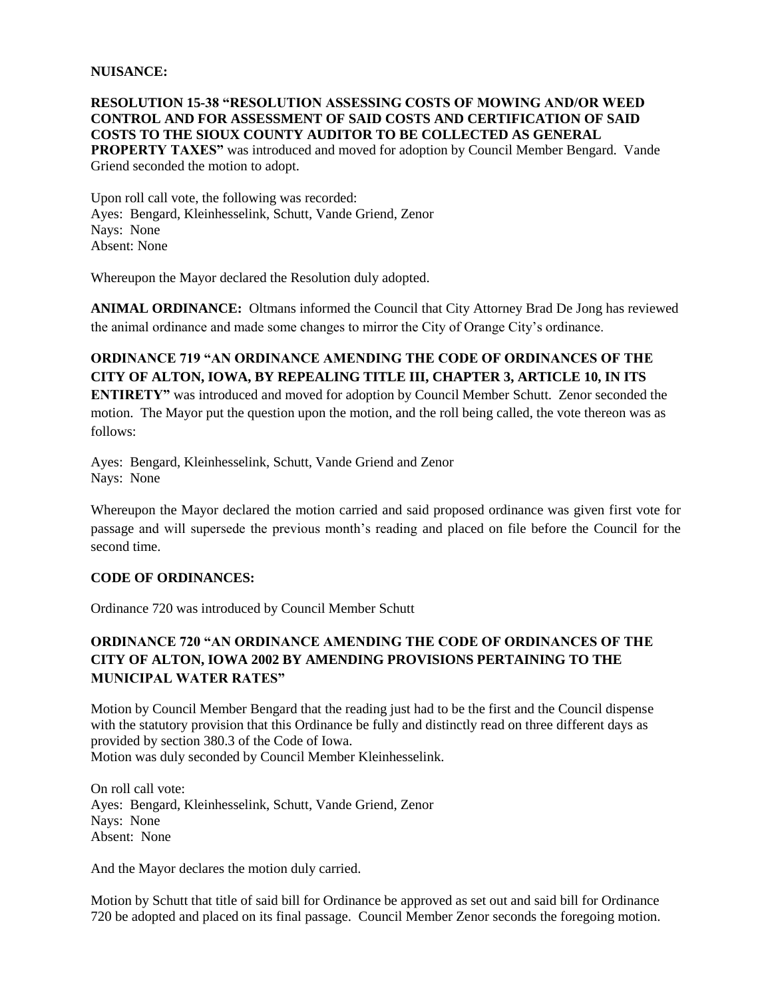#### **NUISANCE:**

#### **RESOLUTION 15-38 "RESOLUTION ASSESSING COSTS OF MOWING AND/OR WEED CONTROL AND FOR ASSESSMENT OF SAID COSTS AND CERTIFICATION OF SAID COSTS TO THE SIOUX COUNTY AUDITOR TO BE COLLECTED AS GENERAL**

**PROPERTY TAXES"** was introduced and moved for adoption by Council Member Bengard. Vande Griend seconded the motion to adopt.

Upon roll call vote, the following was recorded: Ayes: Bengard, Kleinhesselink, Schutt, Vande Griend, Zenor Nays: None Absent: None

Whereupon the Mayor declared the Resolution duly adopted.

**ANIMAL ORDINANCE:** Oltmans informed the Council that City Attorney Brad De Jong has reviewed the animal ordinance and made some changes to mirror the City of Orange City's ordinance.

# **ORDINANCE 719 "AN ORDINANCE AMENDING THE CODE OF ORDINANCES OF THE CITY OF ALTON, IOWA, BY REPEALING TITLE III, CHAPTER 3, ARTICLE 10, IN ITS**

**ENTIRETY"** was introduced and moved for adoption by Council Member Schutt. Zenor seconded the motion. The Mayor put the question upon the motion, and the roll being called, the vote thereon was as follows:

Ayes: Bengard, Kleinhesselink, Schutt, Vande Griend and Zenor Nays: None

Whereupon the Mayor declared the motion carried and said proposed ordinance was given first vote for passage and will supersede the previous month's reading and placed on file before the Council for the second time.

#### **CODE OF ORDINANCES:**

Ordinance 720 was introduced by Council Member Schutt

# **ORDINANCE 720 "AN ORDINANCE AMENDING THE CODE OF ORDINANCES OF THE CITY OF ALTON, IOWA 2002 BY AMENDING PROVISIONS PERTAINING TO THE MUNICIPAL WATER RATES"**

Motion by Council Member Bengard that the reading just had to be the first and the Council dispense with the statutory provision that this Ordinance be fully and distinctly read on three different days as provided by section 380.3 of the Code of Iowa. Motion was duly seconded by Council Member Kleinhesselink.

On roll call vote: Ayes: Bengard, Kleinhesselink, Schutt, Vande Griend, Zenor Nays: None Absent: None

And the Mayor declares the motion duly carried.

Motion by Schutt that title of said bill for Ordinance be approved as set out and said bill for Ordinance 720 be adopted and placed on its final passage. Council Member Zenor seconds the foregoing motion.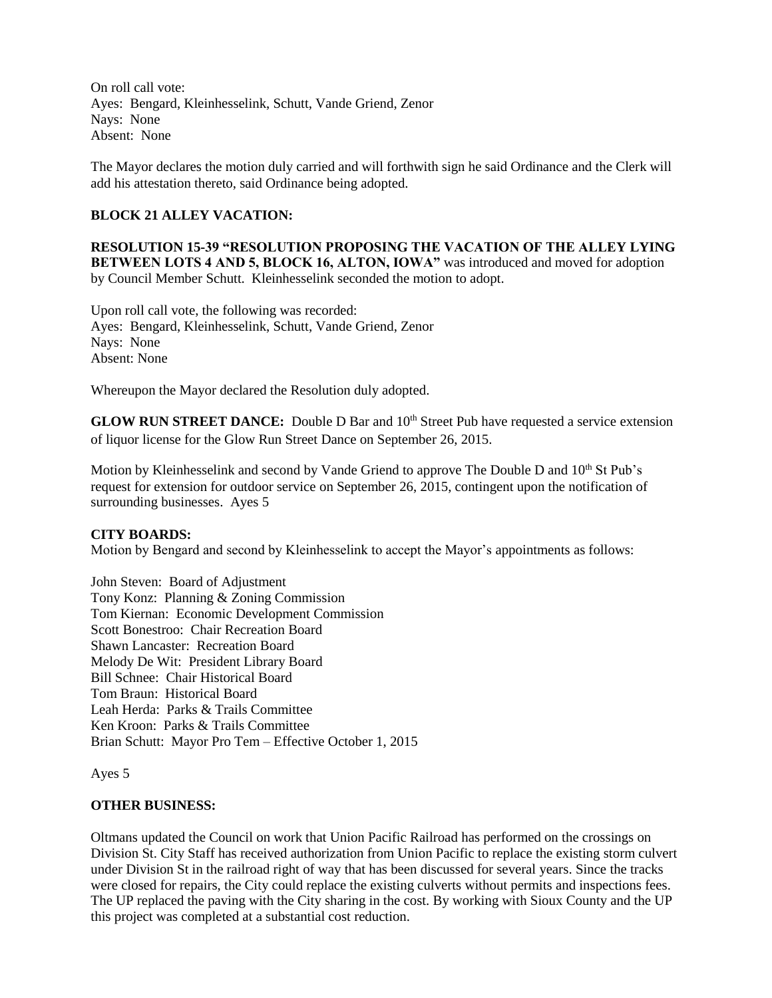On roll call vote: Ayes: Bengard, Kleinhesselink, Schutt, Vande Griend, Zenor Nays: None Absent: None

The Mayor declares the motion duly carried and will forthwith sign he said Ordinance and the Clerk will add his attestation thereto, said Ordinance being adopted.

### **BLOCK 21 ALLEY VACATION:**

**RESOLUTION 15-39 "RESOLUTION PROPOSING THE VACATION OF THE ALLEY LYING BETWEEN LOTS 4 AND 5, BLOCK 16, ALTON, IOWA"** was introduced and moved for adoption by Council Member Schutt. Kleinhesselink seconded the motion to adopt.

Upon roll call vote, the following was recorded: Ayes: Bengard, Kleinhesselink, Schutt, Vande Griend, Zenor Nays: None Absent: None

Whereupon the Mayor declared the Resolution duly adopted.

**GLOW RUN STREET DANCE:** Double D Bar and 10<sup>th</sup> Street Pub have requested a service extension of liquor license for the Glow Run Street Dance on September 26, 2015.

Motion by Kleinhesselink and second by Vande Griend to approve The Double D and 10<sup>th</sup> St Pub's request for extension for outdoor service on September 26, 2015, contingent upon the notification of surrounding businesses. Ayes 5

#### **CITY BOARDS:**

Motion by Bengard and second by Kleinhesselink to accept the Mayor's appointments as follows:

John Steven: Board of Adjustment Tony Konz: Planning & Zoning Commission Tom Kiernan: Economic Development Commission Scott Bonestroo: Chair Recreation Board Shawn Lancaster: Recreation Board Melody De Wit: President Library Board Bill Schnee: Chair Historical Board Tom Braun: Historical Board Leah Herda: Parks & Trails Committee Ken Kroon: Parks & Trails Committee Brian Schutt: Mayor Pro Tem – Effective October 1, 2015

Ayes 5

#### **OTHER BUSINESS:**

Oltmans updated the Council on work that Union Pacific Railroad has performed on the crossings on Division St. City Staff has received authorization from Union Pacific to replace the existing storm culvert under Division St in the railroad right of way that has been discussed for several years. Since the tracks were closed for repairs, the City could replace the existing culverts without permits and inspections fees. The UP replaced the paving with the City sharing in the cost. By working with Sioux County and the UP this project was completed at a substantial cost reduction.